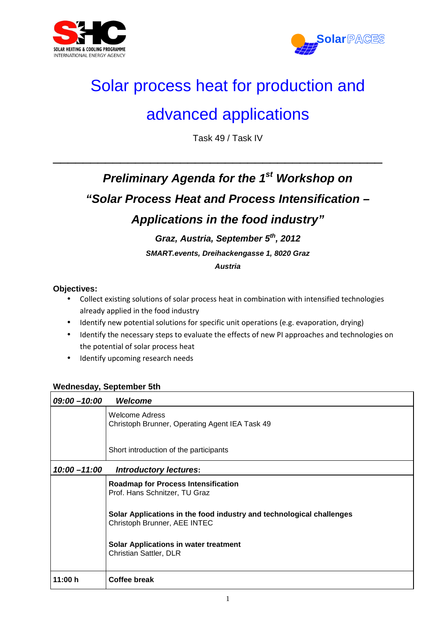



## Solar process heat for production and

### advanced applications

Task 49 / Task IV

\_\_\_\_\_\_\_\_\_\_\_\_\_\_\_\_\_\_\_\_\_\_\_\_\_\_\_\_\_\_\_\_\_\_\_\_\_\_\_\_\_\_\_\_

## **Preliminary Agenda for the 1st Workshop on "Solar Process Heat and Process Intensification – Applications in the food industry"**

# **Graz, Austria, September 5th, 2012**

**SMART.events, Dreihackengasse 1, 8020 Graz** 

**Austria** 

### **Objectives:**

- Collect existing solutions of solar process heat in combination with intensified technologies already applied in the food industry
- Identify new potential solutions for specific unit operations (e.g. evaporation, drying)
- Identify the necessary steps to evaluate the effects of new PI approaches and technologies on the potential of solar process heat
- Identify upcoming research needs

### **Wednesday, September 5th**

| $09:00 - 10:00$ | Welcome                                                                                              |
|-----------------|------------------------------------------------------------------------------------------------------|
|                 | <b>Welcome Adress</b><br>Christoph Brunner, Operating Agent IEA Task 49                              |
|                 | Short introduction of the participants                                                               |
| $10:00 - 11:00$ | <b>Introductory lectures:</b>                                                                        |
|                 | <b>Roadmap for Process Intensification</b><br>Prof. Hans Schnitzer, TU Graz                          |
|                 | Solar Applications in the food industry and technological challenges<br>Christoph Brunner, AEE INTEC |
|                 | <b>Solar Applications in water treatment</b><br>Christian Sattler, DLR                               |
| 11:00 h         | Coffee break                                                                                         |